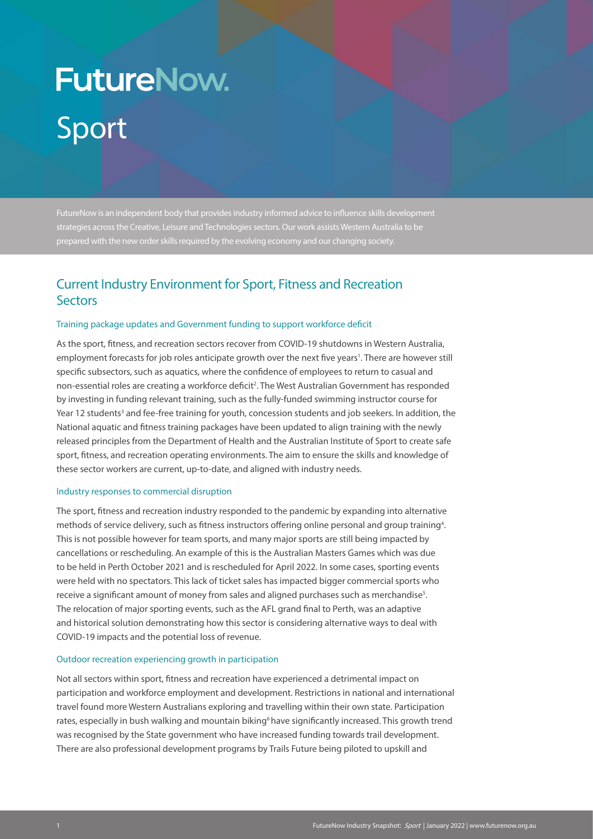# **FutureNow.** Sport

FutureNow is an independent body that provides industry informed advice to influence skills development strategies across the Creative, Leisure and Technologies sectors. Our work assists Western Australia to be prepared with the new order skills required by the evolving economy and our changing society.

# Current Industry Environment for Sport, Fitness and Recreation **Sectors**

#### Training package updates and Government funding to support workforce deficit

As the sport, fitness, and recreation sectors recover from COVID-19 shutdowns in Western Australia, employment forecasts for job roles anticipate growth over the next five years<sup>1</sup>. There are however still specific subsectors, such as aquatics, where the confidence of employees to return to casual and non-essential roles are creating a workforce deficit<sup>2</sup>. The West Australian Government has responded by investing in funding relevant training, such as the fully-funded swimming instructor course for Year 12 students<sup>3</sup> and fee-free training for youth, concession students and job seekers. In addition, the National aquatic and fitness training packages have been updated to align training with the newly released principles from the Department of Health and the Australian Institute of Sport to create safe sport, fitness, and recreation operating environments. The aim to ensure the skills and knowledge of these sector workers are current, up-to-date, and aligned with industry needs.

#### Industry responses to commercial disruption

The sport, fitness and recreation industry responded to the pandemic by expanding into alternative methods of service delivery, such as fitness instructors offering online personal and group training<sup>4</sup>. This is not possible however for team sports, and many major sports are still being impacted by cancellations or rescheduling. An example of this is the Australian Masters Games which was due to be held in Perth October 2021 and is rescheduled for April 2022. In some cases, sporting events were held with no spectators. This lack of ticket sales has impacted bigger commercial sports who receive a significant amount of money from sales and aligned purchases such as merchandise $^{\rm 5}$ . The relocation of major sporting events, such as the AFL grand final to Perth, was an adaptive and historical solution demonstrating how this sector is considering alternative ways to deal with COVID-19 impacts and the potential loss of revenue.

#### Outdoor recreation experiencing growth in participation

Not all sectors within sport, fitness and recreation have experienced a detrimental impact on participation and workforce employment and development. Restrictions in national and international travel found more Western Australians exploring and travelling within their own state. Participation rates, especially in bush walking and mountain biking<sup>6</sup> have significantly increased. This growth trend was recognised by the State government who have increased funding towards trail development. There are also professional development programs by Trails Future being piloted to upskill and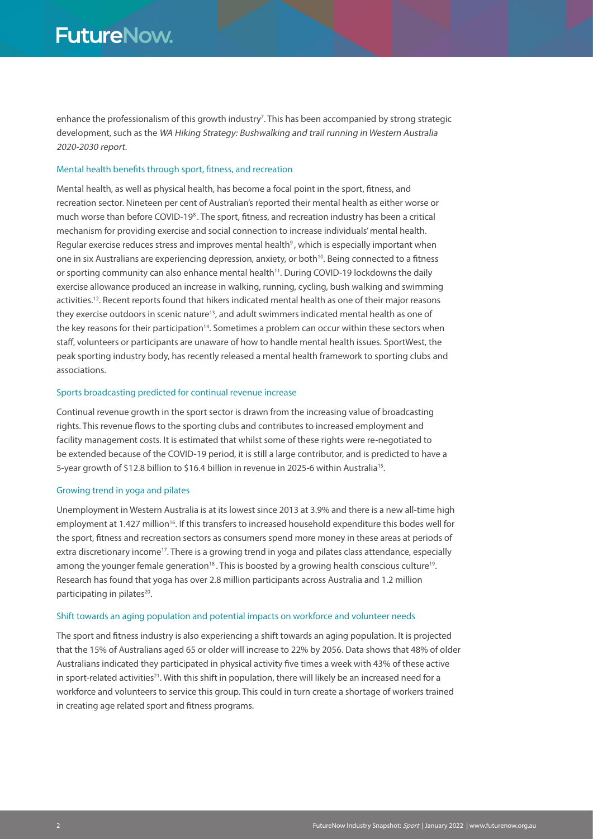enhance the professionalism of this growth industry<sup>7</sup>. This has been accompanied by strong strategic development, such as the WA Hiking Strategy: Bushwalking and trail running in Western Australia 2020-2030 report.

#### Mental health benefits through sport, fitness, and recreation

Mental health, as well as physical health, has become a focal point in the sport, fitness, and recreation sector. Nineteen per cent of Australian's reported their mental health as either worse or much worse than before COVID-19<sup>8</sup>. The sport, fitness, and recreation industry has been a critical mechanism for providing exercise and social connection to increase individuals' mental health. Regular exercise reduces stress and improves mental health<sup>9</sup>, which is especially important when one in six Australians are experiencing depression, anxiety, or both<sup>10</sup>. Being connected to a fitness or sporting community can also enhance mental health<sup>11</sup>. During COVID-19 lockdowns the daily exercise allowance produced an increase in walking, running, cycling, bush walking and swimming activities.12. Recent reports found that hikers indicated mental health as one of their major reasons they exercise outdoors in scenic nature<sup>13</sup>, and adult swimmers indicated mental health as one of the key reasons for their participation<sup>14</sup>. Sometimes a problem can occur within these sectors when staff, volunteers or participants are unaware of how to handle mental health issues. SportWest, the peak sporting industry body, has recently released a mental health framework to sporting clubs and associations.

#### Sports broadcasting predicted for continual revenue increase

Continual revenue growth in the sport sector is drawn from the increasing value of broadcasting rights. This revenue flows to the sporting clubs and contributes to increased employment and facility management costs. It is estimated that whilst some of these rights were re-negotiated to be extended because of the COVID-19 period, it is still a large contributor, and is predicted to have a 5-year growth of \$12.8 billion to \$16.4 billion in revenue in 2025-6 within Australia<sup>15</sup>.

#### Growing trend in yoga and pilates

Unemployment in Western Australia is at its lowest since 2013 at 3.9% and there is a new all-time high employment at 1.427 million<sup>16</sup>. If this transfers to increased household expenditure this bodes well for the sport, fitness and recreation sectors as consumers spend more money in these areas at periods of extra discretionary income<sup>17</sup>. There is a growing trend in yoga and pilates class attendance, especially among the younger female generation<sup>18</sup>. This is boosted by a growing health conscious culture<sup>19</sup>. Research has found that yoga has over 2.8 million participants across Australia and 1.2 million participating in pilates<sup>20</sup>.

#### Shift towards an aging population and potential impacts on workforce and volunteer needs

The sport and fitness industry is also experiencing a shift towards an aging population. It is projected that the 15% of Australians aged 65 or older will increase to 22% by 2056. Data shows that 48% of older Australians indicated they participated in physical activity five times a week with 43% of these active in sport-related activities<sup>21</sup>. With this shift in population, there will likely be an increased need for a workforce and volunteers to service this group. This could in turn create a shortage of workers trained in creating age related sport and fitness programs.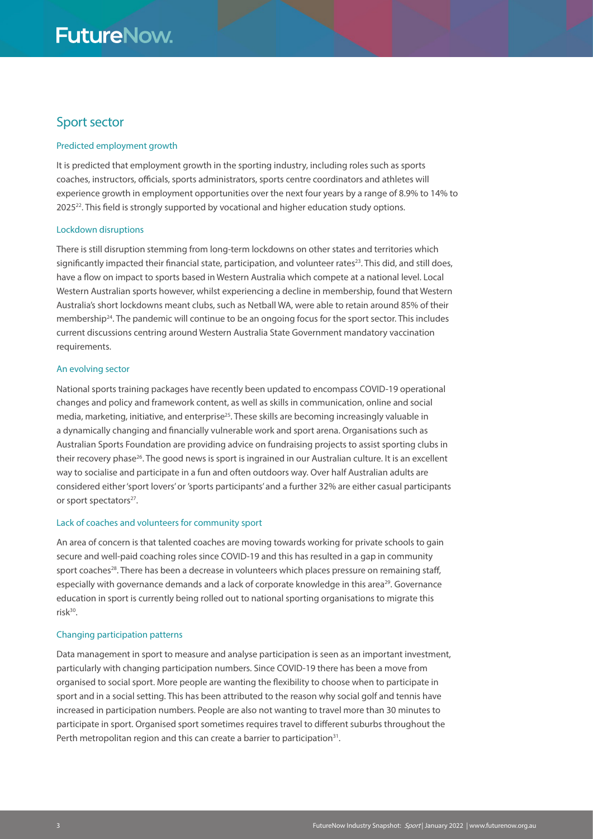# **FutureNow.**

# Sport sector

#### Predicted employment growth

It is predicted that employment growth in the sporting industry, including roles such as sports coaches, instructors, officials, sports administrators, sports centre coordinators and athletes will experience growth in employment opportunities over the next four years by a range of 8.9% to 14% to 202522. This field is strongly supported by vocational and higher education study options.

#### Lockdown disruptions

There is still disruption stemming from long-term lockdowns on other states and territories which significantly impacted their financial state, participation, and volunteer rates<sup>23</sup>. This did, and still does, have a flow on impact to sports based in Western Australia which compete at a national level. Local Western Australian sports however, whilst experiencing a decline in membership, found that Western Australia's short lockdowns meant clubs, such as Netball WA, were able to retain around 85% of their membership<sup>24</sup>. The pandemic will continue to be an ongoing focus for the sport sector. This includes current discussions centring around Western Australia State Government mandatory vaccination requirements.

#### An evolving sector

National sports training packages have recently been updated to encompass COVID-19 operational changes and policy and framework content, as well as skills in communication, online and social media, marketing, initiative, and enterprise<sup>25</sup>. These skills are becoming increasingly valuable in a dynamically changing and financially vulnerable work and sport arena. Organisations such as Australian Sports Foundation are providing advice on fundraising projects to assist sporting clubs in their recovery phase<sup>26</sup>. The good news is sport is ingrained in our Australian culture. It is an excellent way to socialise and participate in a fun and often outdoors way. Over half Australian adults are considered either 'sport lovers' or 'sports participants' and a further 32% are either casual participants or sport spectators<sup>27</sup>.

#### Lack of coaches and volunteers for community sport

An area of concern is that talented coaches are moving towards working for private schools to gain secure and well-paid coaching roles since COVID-19 and this has resulted in a gap in community sport coaches<sup>28</sup>. There has been a decrease in volunteers which places pressure on remaining staff, especially with governance demands and a lack of corporate knowledge in this area<sup>29</sup>. Governance education in sport is currently being rolled out to national sporting organisations to migrate this risk $30$ .

#### Changing participation patterns

Data management in sport to measure and analyse participation is seen as an important investment, particularly with changing participation numbers. Since COVID-19 there has been a move from organised to social sport. More people are wanting the flexibility to choose when to participate in sport and in a social setting. This has been attributed to the reason why social golf and tennis have increased in participation numbers. People are also not wanting to travel more than 30 minutes to participate in sport. Organised sport sometimes requires travel to different suburbs throughout the Perth metropolitan region and this can create a barrier to participation<sup>31</sup>.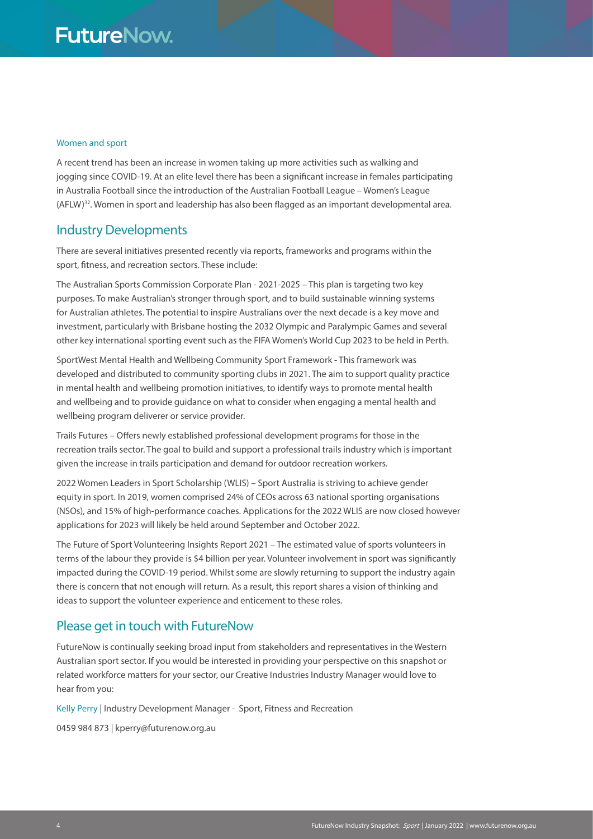#### Women and sport

A recent trend has been an increase in women taking up more activities such as walking and jogging since COVID-19. At an elite level there has been a significant increase in females participating in Australia Football since the introduction of the Australian Football League – Women's League (AFLW)32. Women in sport and leadership has also been flagged as an important developmental area.

## Industry Developments

There are several initiatives presented recently via reports, frameworks and programs within the sport, fitness, and recreation sectors. These include:

The Australian Sports Commission Corporate Plan - 2021-2025 – This plan is targeting two key purposes. To make Australian's stronger through sport, and to build sustainable winning systems for Australian athletes. The potential to inspire Australians over the next decade is a key move and investment, particularly with Brisbane hosting the 2032 Olympic and Paralympic Games and several other key international sporting event such as the FIFA Women's World Cup 2023 to be held in Perth.

SportWest Mental Health and Wellbeing Community Sport Framework - This framework was developed and distributed to community sporting clubs in 2021. The aim to support quality practice in mental health and wellbeing promotion initiatives, to identify ways to promote mental health and wellbeing and to provide guidance on what to consider when engaging a mental health and wellbeing program deliverer or service provider.

Trails Futures – Offers newly established professional development programs for those in the recreation trails sector. The goal to build and support a professional trails industry which is important given the increase in trails participation and demand for outdoor recreation workers.

2022 Women Leaders in Sport Scholarship (WLIS) – Sport Australia is striving to achieve gender equity in sport. In 2019, women comprised 24% of CEOs across 63 national sporting organisations (NSOs), and 15% of high-performance coaches. Applications for the 2022 WLIS are now closed however applications for 2023 will likely be held around September and October 2022.

The Future of Sport Volunteering Insights Report 2021 – The estimated value of sports volunteers in terms of the labour they provide is \$4 billion per year. Volunteer involvement in sport was significantly impacted during the COVID-19 period. Whilst some are slowly returning to support the industry again there is concern that not enough will return. As a result, this report shares a vision of thinking and ideas to support the volunteer experience and enticement to these roles.

### Please get in touch with FutureNow

FutureNow is continually seeking broad input from stakeholders and representatives in the Western Australian sport sector. If you would be interested in providing your perspective on this snapshot or related workforce matters for your sector, our Creative Industries Industry Manager would love to hear from you:

Kelly Perry | Industry Development Manager - Sport, Fitness and Recreation

0459 984 873 | kperry@futurenow.org.au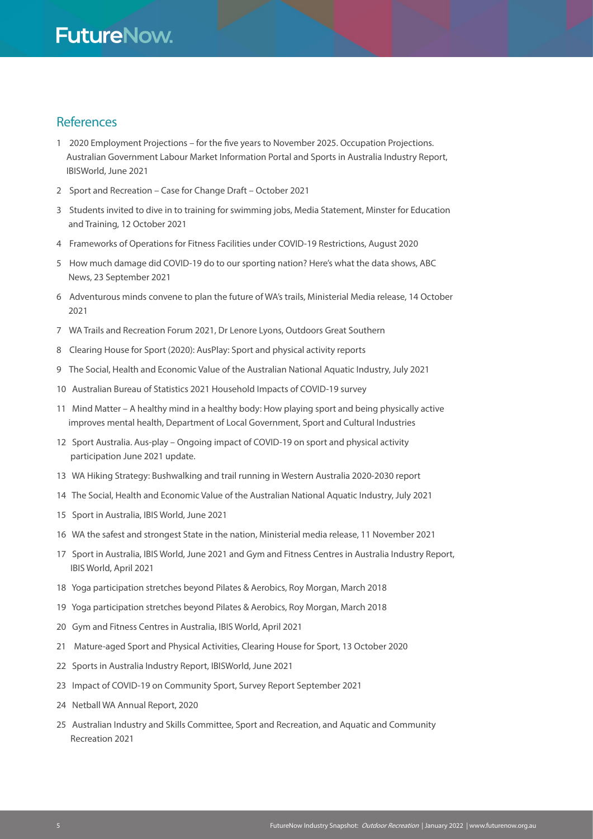# References

- 1 2020 Employment Projections for the five years to November 2025. Occupation Projections. Australian Government Labour Market Information Portal and Sports in Australia Industry Report, IBISWorld, June 2021
- 2 Sport and Recreation Case for Change Draft October 2021
- 3 Students invited to dive in to training for swimming jobs, Media Statement, Minster for Education and Training, 12 October 2021
- 4 Frameworks of Operations for Fitness Facilities under COVID-19 Restrictions, August 2020
- 5 How much damage did COVID-19 do to our sporting nation? Here's what the data shows, ABC News, 23 September 2021
- 6 Adventurous minds convene to plan the future of WA's trails, Ministerial Media release, 14 October 2021
- 7 WA Trails and Recreation Forum 2021, Dr Lenore Lyons, Outdoors Great Southern
- 8 Clearing House for Sport (2020): AusPlay: Sport and physical activity reports
- 9 The Social, Health and Economic Value of the Australian National Aquatic Industry, July 2021
- 10 Australian Bureau of Statistics 2021 Household Impacts of COVID-19 survey
- 11 Mind Matter A healthy mind in a healthy body: How playing sport and being physically active improves mental health, Department of Local Government, Sport and Cultural Industries
- 12 Sport Australia. Aus-play Ongoing impact of COVID-19 on sport and physical activity participation June 2021 update.
- 13 WA Hiking Strategy: Bushwalking and trail running in Western Australia 2020-2030 report
- 14 The Social, Health and Economic Value of the Australian National Aquatic Industry, July 2021
- 15 Sport in Australia, IBIS World, June 2021
- 16 WA the safest and strongest State in the nation, Ministerial media release, 11 November 2021
- 17 Sport in Australia, IBIS World, June 2021 and Gym and Fitness Centres in Australia Industry Report, IBIS World, April 2021
- 18 Yoga participation stretches beyond Pilates & Aerobics, Roy Morgan, March 2018
- 19 Yoga participation stretches beyond Pilates & Aerobics, Roy Morgan, March 2018
- 20 Gym and Fitness Centres in Australia, IBIS World, April 2021
- 21 Mature-aged Sport and Physical Activities, Clearing House for Sport, 13 October 2020
- 22 Sports in Australia Industry Report, IBISWorld, June 2021
- 23 Impact of COVID-19 on Community Sport, Survey Report September 2021
- 24 Netball WA Annual Report, 2020
- 25 Australian Industry and Skills Committee, Sport and Recreation, and Aquatic and Community Recreation 2021